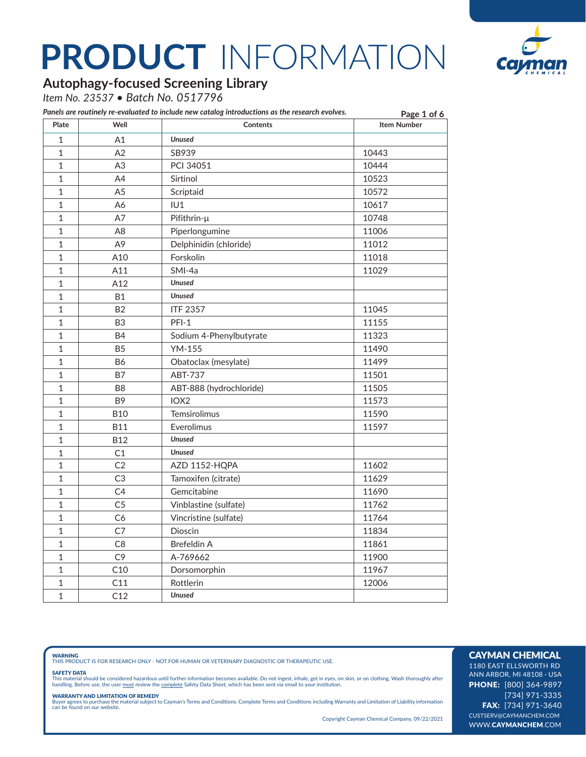

### **Autophagy-focused Screening Library**

*Item No. 23537 • Batch No. 0517796*

| Plate          | Well           | Panels are routinely re-evaluated to include new catalog introductions as the research evolves.<br>Contents | Page 1 of 6<br><b>Item Number</b> |
|----------------|----------------|-------------------------------------------------------------------------------------------------------------|-----------------------------------|
| $\mathbf 1$    |                | <b>Unused</b>                                                                                               |                                   |
|                | A1             |                                                                                                             | 10443                             |
| $\mathbf{1}$   | A2             | SB939                                                                                                       |                                   |
| $\mathbf{1}$   | A3             | PCI 34051                                                                                                   | 10444                             |
| 1              | A4             | Sirtinol                                                                                                    | 10523                             |
| $\mathbf{1}$   | A5             | Scriptaid                                                                                                   | 10572                             |
| 1              | A6             | IU1                                                                                                         | 10617                             |
| 1              | A7             | Pifithrin-µ                                                                                                 | 10748                             |
| $\mathbf{1}$   | A <sub>8</sub> | Piperlongumine                                                                                              | 11006                             |
| $\mathbf{1}$   | A <sub>9</sub> | Delphinidin (chloride)                                                                                      | 11012                             |
| 1              | A10            | Forskolin                                                                                                   | 11018                             |
| $\mathbf{1}$   | A11            | SMI-4a                                                                                                      | 11029                             |
| $\mathbf{1}$   | A12            | <b>Unused</b>                                                                                               |                                   |
| $\mathbf{1}$   | <b>B1</b>      | <b>Unused</b>                                                                                               |                                   |
| $\mathbf{1}$   | B <sub>2</sub> | <b>ITF 2357</b>                                                                                             | 11045                             |
| 1              | B <sub>3</sub> | PFI-1                                                                                                       | 11155                             |
| $\mathbf{1}$   | <b>B4</b>      | Sodium 4-Phenylbutyrate                                                                                     | 11323                             |
| 1              | <b>B5</b>      | YM-155                                                                                                      | 11490                             |
| $\mathbf{1}$   | <b>B6</b>      | Obatoclax (mesylate)                                                                                        | 11499                             |
| $\mathbf{1}$   | <b>B7</b>      | ABT-737                                                                                                     | 11501                             |
| $\mathbf{1}$   | B <sub>8</sub> | ABT-888 (hydrochloride)                                                                                     | 11505                             |
| $\mathbf{1}$   | B <sub>9</sub> | IOX <sub>2</sub>                                                                                            | 11573                             |
| 1              | <b>B10</b>     | <b>Temsirolimus</b>                                                                                         | 11590                             |
| $\mathbf{1}$   | <b>B11</b>     | Everolimus                                                                                                  | 11597                             |
| $\mathbf 1$    | <b>B12</b>     | <b>Unused</b>                                                                                               |                                   |
| $\mathbf{1}$   | C1             | <b>Unused</b>                                                                                               |                                   |
| $\overline{1}$ | C <sub>2</sub> | AZD 1152-HQPA                                                                                               | 11602                             |
| $\mathbf{1}$   | C <sub>3</sub> | Tamoxifen (citrate)                                                                                         | 11629                             |
| $\mathbf{1}$   | C <sub>4</sub> | Gemcitabine                                                                                                 | 11690                             |
| $\overline{1}$ | C <sub>5</sub> | Vinblastine (sulfate)                                                                                       | 11762                             |
| $\mathbf{1}$   | C <sub>6</sub> | Vincristine (sulfate)                                                                                       | 11764                             |
| $\mathbf{1}$   | C7             | Dioscin                                                                                                     | 11834                             |
| $\mathbf{1}$   | C <sub>8</sub> | <b>Brefeldin A</b>                                                                                          | 11861                             |
| $\mathbf{1}$   | C <sub>9</sub> | A-769662                                                                                                    | 11900                             |
| 1              | C10            | Dorsomorphin                                                                                                | 11967                             |
| $\mathbf 1$    | C11            | Rottlerin                                                                                                   | 12006                             |
| $\mathbf{1}$   | C12            | <b>Unused</b>                                                                                               |                                   |

**WARNING**<br>THIS PRODUCT IS FOR RESEARCH ONLY - NOT FOR HUMAN OR VETERINARY DIAGNOSTIC OR THERAPEUTIC USE.

#### SAFETY DATA

This material should be considered hazardous until further information becomes available. Do not ingest, inhale, get in eyes, on skin, or on clothing. Wash thoroughly after<br>handling. Before use, the user must review the co

**WARRANTY AND LIMITATION OF REMEDY**<br>Buyer agrees to purchase the material subject to Cayman's Terms and Conditions. Complete Terms and Conditions including Warranty and Limitation of Liability information<br>can be found on o

Copyright Cayman Chemical Company, 09/22/2021

### CAYMAN CHEMICAL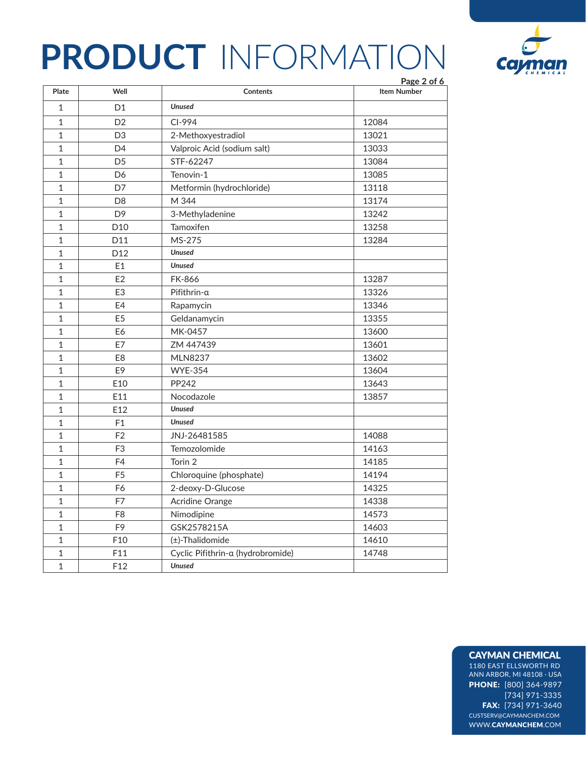

|                |                 |                                   | Page 2 of 6        |
|----------------|-----------------|-----------------------------------|--------------------|
| Plate          | Well            | <b>Contents</b>                   | <b>Item Number</b> |
| $\mathbf{1}$   | D <sub>1</sub>  | <b>Unused</b>                     |                    |
| $\mathbf{1}$   | D <sub>2</sub>  | CI-994                            | 12084              |
| $\overline{1}$ | D <sub>3</sub>  | 2-Methoxyestradiol                | 13021              |
| $\mathbf{1}$   | D <sub>4</sub>  | Valproic Acid (sodium salt)       | 13033              |
| $\mathbf 1$    | D <sub>5</sub>  | STF-62247                         | 13084              |
| $\mathbf{1}$   | D <sub>6</sub>  | Tenovin-1                         | 13085              |
| $\mathbf{1}$   | D7              | Metformin (hydrochloride)         | 13118              |
| $\mathbf{1}$   | D <sub>8</sub>  | M 344                             | 13174              |
| $\mathbf{1}$   | D <sub>9</sub>  | 3-Methyladenine                   | 13242              |
| $\mathbf 1$    | D <sub>10</sub> | Tamoxifen                         | 13258              |
| $\mathbf 1$    | D11             | MS-275                            | 13284              |
| $\mathbf 1$    | D <sub>12</sub> | <b>Unused</b>                     |                    |
| $\mathbf 1$    | E1              | <b>Unused</b>                     |                    |
| $\mathbf{1}$   | E <sub>2</sub>  | FK-866                            | 13287              |
| $\mathbf{1}$   | E <sub>3</sub>  | Pifithrin- $\alpha$               | 13326              |
| $\mathbf{1}$   | E4              | Rapamycin                         | 13346              |
| $\mathbf{1}$   | E <sub>5</sub>  | Geldanamycin                      | 13355              |
| $\mathbf{1}$   | E6              | MK-0457                           | 13600              |
| $\mathbf 1$    | E7              | ZM 447439                         | 13601              |
| 1              | E8              | <b>MLN8237</b>                    | 13602              |
| $\mathbf{1}$   | E <sub>9</sub>  | <b>WYE-354</b>                    | 13604              |
| $\mathbf 1$    | E10             | PP242                             | 13643              |
| $\mathbf{1}$   | E11             | Nocodazole                        | 13857              |
| $\mathbf{1}$   | E12             | <b>Unused</b>                     |                    |
| $\overline{1}$ | F <sub>1</sub>  | <b>Unused</b>                     |                    |
| $\mathbf{1}$   | F <sub>2</sub>  | JNJ-26481585                      | 14088              |
| $\mathbf 1$    | F <sub>3</sub>  | Temozolomide                      | 14163              |
| $\mathbf 1$    | F <sub>4</sub>  | Torin <sub>2</sub>                | 14185              |
| $\mathbf{1}$   | F <sub>5</sub>  | Chloroquine (phosphate)           | 14194              |
| $\overline{1}$ | F6              | 2-deoxy-D-Glucose                 | 14325              |
| $\mathbf{1}$   | F7              | Acridine Orange                   | 14338              |
| $\mathbf 1$    | F <sub>8</sub>  | Nimodipine                        | 14573              |
| $\mathbf{1}$   | F <sub>9</sub>  | GSK2578215A                       | 14603              |
| $\mathbf{1}$   | F10             | $(\pm)$ -Thalidomide              | 14610              |
| $\mathbf 1$    | F11             | Cyclic Pifithrin-a (hydrobromide) | 14748              |
| $\mathbf{1}$   | F <sub>12</sub> | <b>Unused</b>                     |                    |

### CAYMAN CHEMICAL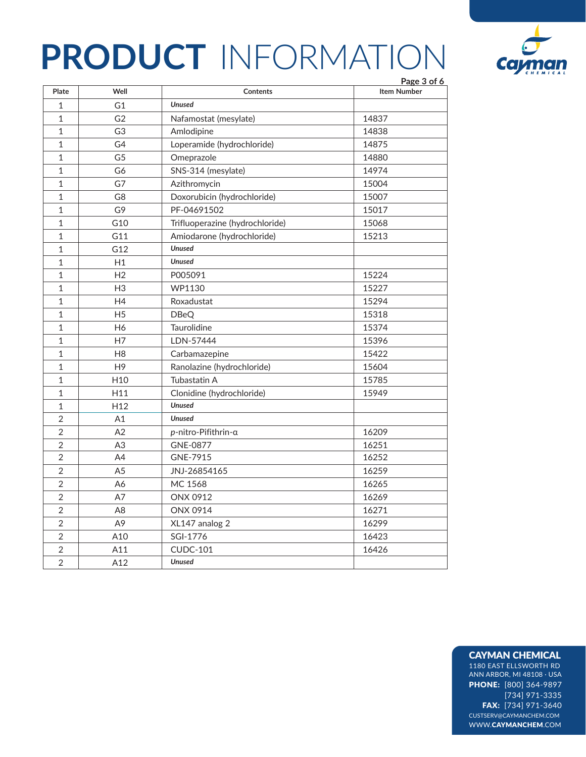

|                |                 |                                 | Page 3 of 6        |
|----------------|-----------------|---------------------------------|--------------------|
| Plate          | Well            | Contents                        | <b>Item Number</b> |
| $1\,$          | G <sub>1</sub>  | <b>Unused</b>                   |                    |
| $\mathbf 1$    | G <sub>2</sub>  | Nafamostat (mesylate)           | 14837              |
| $1\,$          | G <sub>3</sub>  | Amlodipine                      | 14838              |
| $\mathbf 1$    | G4              | Loperamide (hydrochloride)      | 14875              |
| $\mathbf 1$    | G <sub>5</sub>  | Omeprazole                      | 14880              |
| $\mathbf{1}$   | G6              | SNS-314 (mesylate)              | 14974              |
| $\mathbf 1$    | G7              | Azithromycin                    | 15004              |
| $\mathbf{1}$   | G <sub>8</sub>  | Doxorubicin (hydrochloride)     | 15007              |
| $\mathbf 1$    | G9              | PF-04691502                     | 15017              |
| $\mathbf{1}$   | G10             | Trifluoperazine (hydrochloride) | 15068              |
| $\mathbf 1$    | G11             | Amiodarone (hydrochloride)      | 15213              |
| $\mathbf{1}$   | G12             | <b>Unused</b>                   |                    |
| $\mathbf 1$    | H1              | <b>Unused</b>                   |                    |
| $1\,$          | H <sub>2</sub>  | P005091                         | 15224              |
| $\mathbf 1$    | H <sub>3</sub>  | WP1130                          | 15227              |
| $1\,$          | H4              | Roxadustat                      | 15294              |
| $\mathbf 1$    | H <sub>5</sub>  | <b>DBeQ</b>                     | 15318              |
| $\mathbf 1$    | H <sub>6</sub>  | <b>Taurolidine</b>              | 15374              |
| $\mathbf 1$    | H7              | LDN-57444                       | 15396              |
| $\mathbf 1$    | H <sub>8</sub>  | Carbamazepine                   | 15422              |
| $\mathbf{1}$   | H <sub>9</sub>  | Ranolazine (hydrochloride)      | 15604              |
| $\mathbf 1$    | H10             | Tubastatin A                    | 15785              |
| $\mathbf 1$    | H11             | Clonidine (hydrochloride)       | 15949              |
| $\mathbf 1$    | H <sub>12</sub> | <b>Unused</b>                   |                    |
| $\overline{2}$ | A1              | <b>Unused</b>                   |                    |
| $\overline{2}$ | A2              | p-nitro-Pifithrin-a             | 16209              |
| $\overline{2}$ | A3              | GNE-0877                        | 16251              |
| $\overline{2}$ | A4              | GNE-7915                        | 16252              |
| $\overline{2}$ | A <sub>5</sub>  | JNJ-26854165                    | 16259              |
| $\sqrt{2}$     | A6              | MC 1568                         | 16265              |
| $\overline{2}$ | A7              | ONX 0912                        | 16269              |
| $\overline{2}$ | A8              | ONX 0914                        | 16271              |
| $\overline{2}$ | A <sub>9</sub>  | XL147 analog 2                  | 16299              |
| $\overline{2}$ | A10             | SGI-1776                        | 16423              |
| $\sqrt{2}$     | A11             | <b>CUDC-101</b>                 | 16426              |
| $\overline{2}$ | A12             | <b>Unused</b>                   |                    |

### CAYMAN CHEMICAL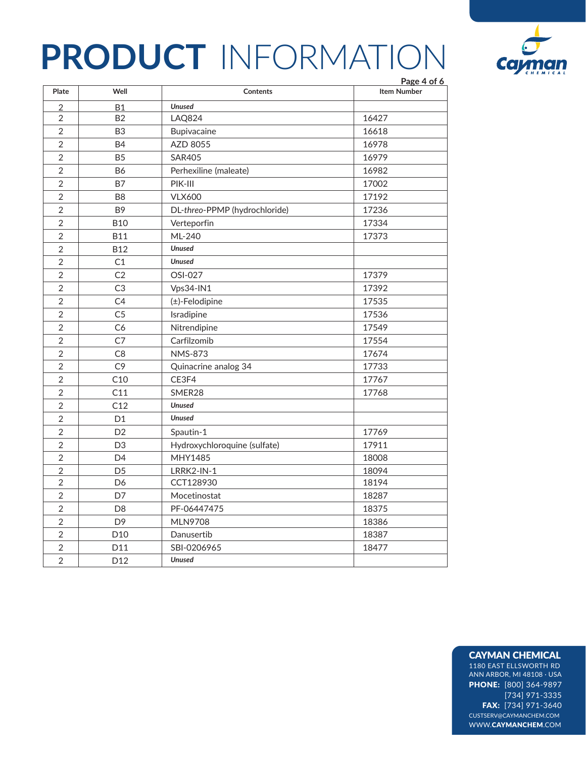

|                |                 | Page 4 of 6                   |                    |
|----------------|-----------------|-------------------------------|--------------------|
| Plate          | Well            | Contents                      | <b>Item Number</b> |
| $\overline{2}$ | <b>B1</b>       | <b>Unused</b>                 |                    |
| $\overline{2}$ | <b>B2</b>       | <b>LAQ824</b>                 | 16427              |
| $\overline{2}$ | B <sub>3</sub>  | Bupivacaine                   | 16618              |
| $\overline{2}$ | <b>B4</b>       | AZD 8055                      | 16978              |
| $\overline{2}$ | <b>B5</b>       | <b>SAR405</b>                 | 16979              |
| $\overline{2}$ | <b>B6</b>       | Perhexiline (maleate)         | 16982              |
| $\overline{2}$ | <b>B7</b>       | PIK-III                       | 17002              |
| $\overline{2}$ | B <sub>8</sub>  | <b>VLX600</b>                 | 17192              |
| $\overline{2}$ | B <sub>9</sub>  | DL-threo-PPMP (hydrochloride) | 17236              |
| $\overline{2}$ | <b>B10</b>      | Verteporfin                   | 17334              |
| $\sqrt{2}$     | <b>B11</b>      | ML-240                        | 17373              |
| $\overline{2}$ | <b>B12</b>      | <b>Unused</b>                 |                    |
| $\overline{2}$ | C1              | <b>Unused</b>                 |                    |
| $\overline{2}$ | C <sub>2</sub>  | OSI-027                       | 17379              |
| $\overline{2}$ | C <sub>3</sub>  | Vps34-IN1                     | 17392              |
| $\overline{2}$ | C <sub>4</sub>  | (±)-Felodipine                | 17535              |
| $\overline{2}$ | C <sub>5</sub>  | Isradipine                    | 17536              |
| $\overline{2}$ | C <sub>6</sub>  | Nitrendipine                  | 17549              |
| $\overline{2}$ | C <sub>7</sub>  | Carfilzomib                   | 17554              |
| $\overline{2}$ | C <sub>8</sub>  | <b>NMS-873</b>                | 17674              |
| $\overline{2}$ | C <sub>9</sub>  | Quinacrine analog 34          | 17733              |
| $\overline{2}$ | C10             | CE3F4                         | 17767              |
| $\overline{2}$ | C11             | SMER28                        | 17768              |
| $\overline{2}$ | C12             | <b>Unused</b>                 |                    |
| $\overline{2}$ | D <sub>1</sub>  | <b>Unused</b>                 |                    |
| $\overline{2}$ | D <sub>2</sub>  | Spautin-1                     | 17769              |
| $\overline{2}$ | D <sub>3</sub>  | Hydroxychloroquine (sulfate)  | 17911              |
| $\overline{2}$ | D <sub>4</sub>  | MHY1485                       | 18008              |
| $\overline{2}$ | D <sub>5</sub>  | LRRK2-IN-1                    | 18094              |
| $\overline{2}$ | D <sub>6</sub>  | CCT128930                     | 18194              |
| $\overline{2}$ | D7              | Mocetinostat                  | 18287              |
| $\overline{2}$ | D <sub>8</sub>  | PF-06447475                   | 18375              |
| $\overline{2}$ | D <sub>9</sub>  | <b>MLN9708</b>                | 18386              |
| $\overline{2}$ | D <sub>10</sub> | Danusertib                    | 18387              |
| $\overline{2}$ | D11             | SBI-0206965                   | 18477              |
| $\overline{2}$ | D <sub>12</sub> | <b>Unused</b>                 |                    |

### CAYMAN CHEMICAL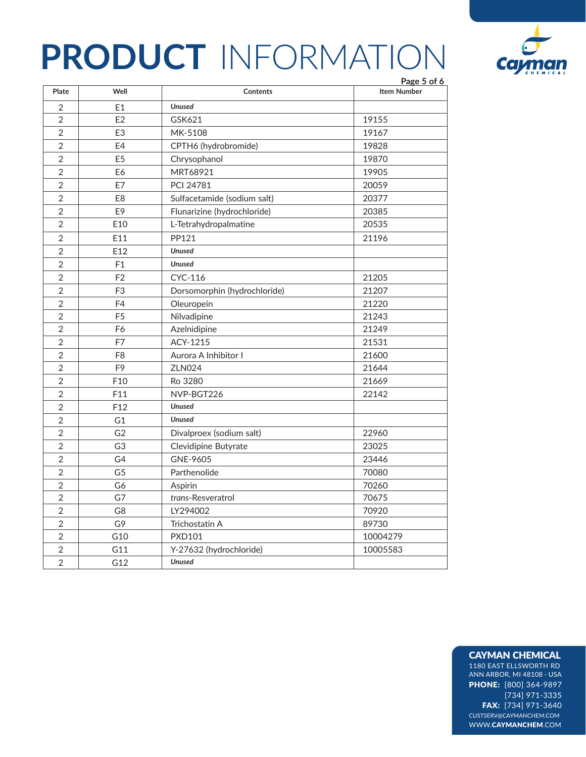

|                | Page 5 of 6     |                              |                    |
|----------------|-----------------|------------------------------|--------------------|
| Plate          | Well            | <b>Contents</b>              | <b>Item Number</b> |
| $\overline{2}$ | E1              | <b>Unused</b>                |                    |
| $\overline{2}$ | E2              | GSK621                       | 19155              |
| $\overline{2}$ | E <sub>3</sub>  | MK-5108                      | 19167              |
| $\overline{2}$ | E4              | CPTH6 (hydrobromide)         | 19828              |
| 2              | E <sub>5</sub>  | Chrysophanol                 | 19870              |
| $\overline{2}$ | E6              | MRT68921                     | 19905              |
| $\overline{2}$ | E7              | PCI 24781                    | 20059              |
| $\overline{2}$ | E <sub>8</sub>  | Sulfacetamide (sodium salt)  | 20377              |
| $\overline{2}$ | E <sub>9</sub>  | Flunarizine (hydrochloride)  | 20385              |
| $\overline{2}$ | E10             | L-Tetrahydropalmatine        | 20535              |
| $\overline{2}$ | E11             | PP121                        | 21196              |
| $\overline{2}$ | E12             | <b>Unused</b>                |                    |
| $\overline{2}$ | F1              | <b>Unused</b>                |                    |
| $\overline{2}$ | F <sub>2</sub>  | CYC-116                      | 21205              |
| $\overline{2}$ | F <sub>3</sub>  | Dorsomorphin (hydrochloride) | 21207              |
| $\overline{2}$ | F <sub>4</sub>  | Oleuropein                   | 21220              |
| $\overline{2}$ | F <sub>5</sub>  | Nilvadipine                  | 21243              |
| $\overline{2}$ | F <sub>6</sub>  | Azelnidipine                 | 21249              |
| $\overline{2}$ | F7              | ACY-1215                     | 21531              |
| 2              | F <sub>8</sub>  | Aurora A Inhibitor I         | 21600              |
| $\overline{2}$ | F <sub>9</sub>  | <b>ZLN024</b>                | 21644              |
| $\overline{2}$ | F10             | Ro 3280                      | 21669              |
| $\overline{2}$ | F11             | NVP-BGT226                   | 22142              |
| $\overline{2}$ | F <sub>12</sub> | <b>Unused</b>                |                    |
| $\overline{2}$ | G1              | <b>Unused</b>                |                    |
| $\sqrt{2}$     | G <sub>2</sub>  | Divalproex (sodium salt)     | 22960              |
| $\overline{2}$ | G <sub>3</sub>  | Clevidipine Butyrate         | 23025              |
| $\overline{2}$ | G4              | GNE-9605                     | 23446              |
| $\overline{2}$ | G <sub>5</sub>  | Parthenolide                 | 70080              |
| $\overline{2}$ | G6              | Aspirin                      | 70260              |
| $\overline{2}$ | G7              | trans-Resveratrol            | 70675              |
| $\overline{2}$ | G8              | LY294002                     | 70920              |
| $\overline{2}$ | G9              | Trichostatin A               | 89730              |
| $\overline{2}$ | G <sub>10</sub> | <b>PXD101</b>                | 10004279           |
| $\overline{2}$ | G11             | Y-27632 (hydrochloride)      | 10005583           |
| $\overline{2}$ | G12             | <b>Unused</b>                |                    |

### CAYMAN CHEMICAL